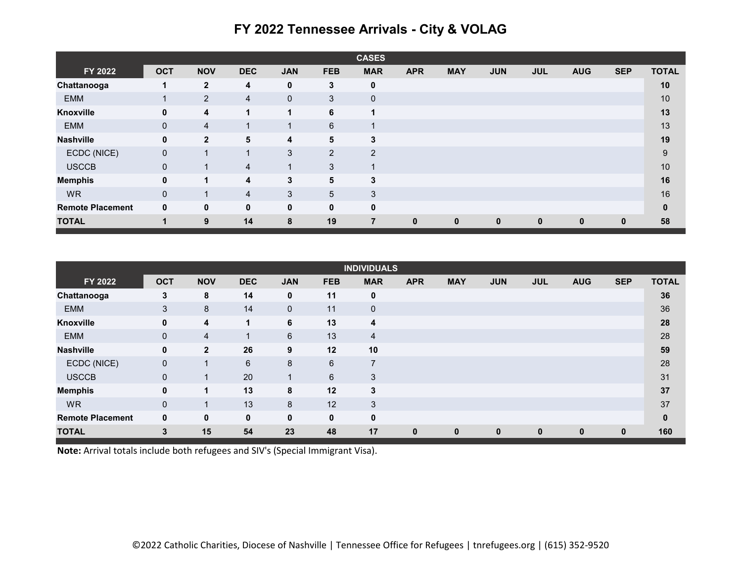|                         |                |                |                |              |             | <b>CASES</b>            |             |             |              |             |            |            |              |
|-------------------------|----------------|----------------|----------------|--------------|-------------|-------------------------|-------------|-------------|--------------|-------------|------------|------------|--------------|
| FY 2022                 | <b>OCT</b>     | <b>NOV</b>     | <b>DEC</b>     | <b>JAN</b>   | <b>FEB</b>  | <b>MAR</b>              | <b>APR</b>  | <b>MAY</b>  | <b>JUN</b>   | <b>JUL</b>  | <b>AUG</b> | <b>SEP</b> | <b>TOTAL</b> |
| Chattanooga             | 1              | $\overline{2}$ | 4              | $\mathbf{0}$ | 3           | $\mathbf{0}$            |             |             |              |             |            |            | 10           |
| <b>EMM</b>              | 1              | $\overline{2}$ | $\overline{4}$ | $\mathbf 0$  | 3           | $\mathbf 0$             |             |             |              |             |            |            | 10           |
| Knoxville               | $\mathbf{0}$   | 4              |                | 1            | 6           | $\mathbf{1}$            |             |             |              |             |            |            | 13           |
| <b>EMM</b>              | $\mathbf{0}$   | 4              |                |              | 6           | $\overline{\mathbf{A}}$ |             |             |              |             |            |            | 13           |
| <b>Nashville</b>        | $\mathbf{0}$   | $\mathbf{2}$   | 5              | 4            | 5           | 3                       |             |             |              |             |            |            | 19           |
| ECDC (NICE)             | $\mathbf{0}$   | и              |                | 3            | 2           | $\overline{2}$          |             |             |              |             |            |            | $9\,$        |
| <b>USCCB</b>            | $\mathbf{0}$   |                | $\overline{4}$ | 1            | 3           | $\overline{A}$          |             |             |              |             |            |            | 10           |
| <b>Memphis</b>          | $\mathbf{0}$   | 1              | 4              | 3            | 5           | 3                       |             |             |              |             |            |            | 16           |
| <b>WR</b>               | $\overline{0}$ |                | $\overline{4}$ | 3            | 5           | 3                       |             |             |              |             |            |            | 16           |
| <b>Remote Placement</b> | $\mathbf{0}$   | 0              | $\mathbf 0$    | $\mathbf{0}$ | $\mathbf 0$ | $\mathbf{0}$            |             |             |              |             |            |            | $\bf{0}$     |
| <b>TOTAL</b>            | 1              | 9              | 14             | 8            | 19          | 7                       | $\mathbf 0$ | $\mathbf 0$ | $\mathbf{0}$ | $\mathbf 0$ | $\bf{0}$   | 0          | 58           |

## **FY 2022 Tennessee Arrivals - City & VOLAG**

| <b>INDIVIDUALS</b>      |              |                |                |              |             |                          |              |              |              |              |            |            |              |
|-------------------------|--------------|----------------|----------------|--------------|-------------|--------------------------|--------------|--------------|--------------|--------------|------------|------------|--------------|
| FY 2022                 | <b>OCT</b>   | <b>NOV</b>     | <b>DEC</b>     | <b>JAN</b>   | <b>FEB</b>  | <b>MAR</b>               | <b>APR</b>   | <b>MAY</b>   | <b>JUN</b>   | <b>JUL</b>   | <b>AUG</b> | <b>SEP</b> | <b>TOTAL</b> |
| Chattanooga             | 3            | 8              | 14             | 0            | 11          | $\mathbf 0$              |              |              |              |              |            |            | 36           |
| <b>EMM</b>              | 3            | 8              | 14             | $\mathbf{0}$ | 11          | $\mathbf 0$              |              |              |              |              |            |            | 36           |
| Knoxville               | $\mathbf 0$  | 4              | $\mathbf 1$    | 6            | 13          | 4                        |              |              |              |              |            |            | 28           |
| <b>EMM</b>              | $\mathbf 0$  | $\overline{4}$ | $\overline{A}$ | 6            | 13          | $\overline{4}$           |              |              |              |              |            |            | 28           |
| <b>Nashville</b>        | $\mathbf{0}$ | $\mathbf{2}$   | 26             | 9            | 12          | 10                       |              |              |              |              |            |            | 59           |
| ECDC (NICE)             | $\mathbf 0$  | 1              | 6              | 8            | 6           | $\overline{\phantom{a}}$ |              |              |              |              |            |            | 28           |
| <b>USCCB</b>            | $\mathbf 0$  | 1              | 20             | 1            | 6           | 3                        |              |              |              |              |            |            | 31           |
| <b>Memphis</b>          | $\mathbf 0$  | 1              | 13             | 8            | 12          | 3                        |              |              |              |              |            |            | 37           |
| <b>WR</b>               | $\mathbf{0}$ |                | 13             | 8            | 12          | 3                        |              |              |              |              |            |            | 37           |
| <b>Remote Placement</b> | $\mathbf{0}$ | $\mathbf{0}$   | $\mathbf 0$    | $\mathbf 0$  | $\mathbf 0$ | $\mathbf 0$              |              |              |              |              |            |            | $\mathbf 0$  |
| <b>TOTAL</b>            | 3            | 15             | 54             | 23           | 48          | 17                       | $\mathbf{0}$ | $\mathbf{0}$ | $\mathbf{0}$ | $\mathbf{0}$ | $\bf{0}$   | $\bf{0}$   | 160          |

**Note:** Arrival totals include both refugees and SIV's (Special Immigrant Visa).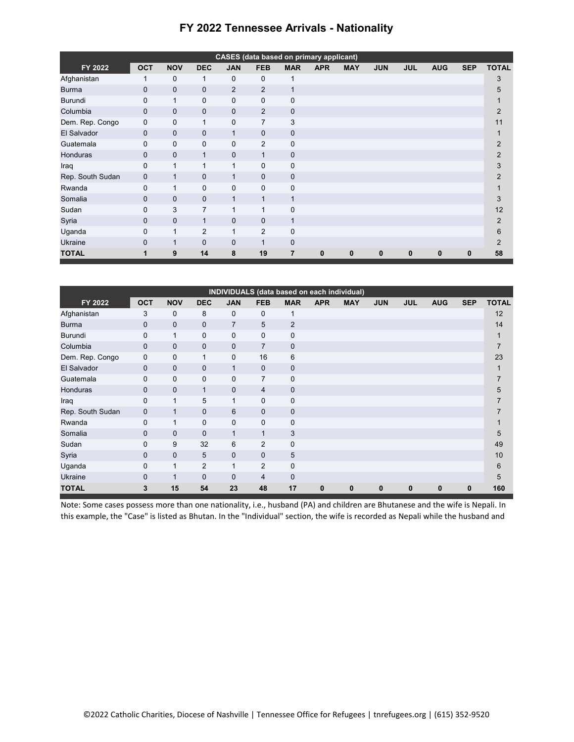| <b>CASES</b> (data based on primary applicant) |              |              |                |                |                |                |             |            |             |            |            |              |                |
|------------------------------------------------|--------------|--------------|----------------|----------------|----------------|----------------|-------------|------------|-------------|------------|------------|--------------|----------------|
| FY 2022                                        | <b>OCT</b>   | <b>NOV</b>   | <b>DEC</b>     | <b>JAN</b>     | <b>FEB</b>     | <b>MAR</b>     | <b>APR</b>  | <b>MAY</b> | <b>JUN</b>  | <b>JUL</b> | <b>AUG</b> | <b>SEP</b>   | <b>TOTAL</b>   |
| Afghanistan                                    |              | 0            | 1              | 0              | $\mathbf{0}$   | 1              |             |            |             |            |            |              | 3              |
| <b>Burma</b>                                   | $\mathbf 0$  | $\mathbf{0}$ | 0              | $\overline{2}$ | $\overline{2}$ | $\mathbf{1}$   |             |            |             |            |            |              | 5              |
| Burundi                                        | 0            | 1            | 0              | $\mathbf{0}$   | $\mathbf{0}$   | $\mathbf 0$    |             |            |             |            |            |              |                |
| Columbia                                       | $\mathbf 0$  | $\mathbf{0}$ | $\mathbf{0}$   | $\mathbf{0}$   | $\overline{2}$ | $\mathbf 0$    |             |            |             |            |            |              | 2              |
| Dem. Rep. Congo                                | $\mathbf 0$  | 0            | 1              | 0              | 7              | 3              |             |            |             |            |            |              | 11             |
| El Salvador                                    | $\mathbf 0$  | $\mathbf{0}$ | $\mathbf{0}$   | $\mathbf{1}$   | $\mathbf{0}$   | $\mathbf 0$    |             |            |             |            |            |              |                |
| Guatemala                                      | 0            | 0            | $\mathbf{0}$   | $\mathbf{0}$   | $\overline{2}$ | 0              |             |            |             |            |            |              | $\overline{2}$ |
| Honduras                                       | $\mathbf 0$  | 0            | $\mathbf{1}$   | 0              | $\mathbf{1}$   | 0              |             |            |             |            |            |              | 2              |
| Iraq                                           | 0            | 1            | 1              | 1              | $\mathbf 0$    | 0              |             |            |             |            |            |              | 3              |
| Rep. South Sudan                               | $\mathbf 0$  | $\mathbf{1}$ | $\mathbf{0}$   | $\mathbf{1}$   | $\mathbf{0}$   | 0              |             |            |             |            |            |              | $\overline{2}$ |
| Rwanda                                         | 0            | 1            | $\mathbf{0}$   | $\mathbf{0}$   | $\mathbf{0}$   | 0              |             |            |             |            |            |              |                |
| Somalia                                        | $\mathbf 0$  | $\mathbf{0}$ | $\mathbf{0}$   | $\mathbf{1}$   | 1              | $\mathbf{1}$   |             |            |             |            |            |              | 3              |
| Sudan                                          | 0            | 3            | $\overline{7}$ | $\mathbf{1}$   | 1              | 0              |             |            |             |            |            |              | 12             |
| Syria                                          | $\mathbf{0}$ | $\mathbf{0}$ | $\mathbf{1}$   | $\mathbf{0}$   | $\mathbf{0}$   | $\mathbf{1}$   |             |            |             |            |            |              | 2              |
| Uganda                                         | 0            | 1            | $\overline{2}$ | $\mathbf{1}$   | $\overline{2}$ | 0              |             |            |             |            |            |              | 6              |
| Ukraine                                        | $\mathbf{0}$ | $\mathbf 1$  | $\mathbf{0}$   | $\mathbf{0}$   | 1              | 0              |             |            |             |            |            |              | 2              |
| <b>TOTAL</b>                                   | 1            | 9            | 14             | 8              | 19             | $\overline{7}$ | $\mathbf 0$ | 0          | $\mathbf 0$ | 0          | $\bf{0}$   | $\mathbf{0}$ | 58             |

## **FY 2022 Tennessee Arrivals - Nationality**

| INDIVIDUALS (data based on each individual) |              |              |                |                |                |                |            |            |            |            |            |             |              |
|---------------------------------------------|--------------|--------------|----------------|----------------|----------------|----------------|------------|------------|------------|------------|------------|-------------|--------------|
| FY 2022                                     | <b>OCT</b>   | <b>NOV</b>   | <b>DEC</b>     | <b>JAN</b>     | <b>FEB</b>     | <b>MAR</b>     | <b>APR</b> | <b>MAY</b> | <b>JUN</b> | <b>JUL</b> | <b>AUG</b> | <b>SEP</b>  | <b>TOTAL</b> |
| Afghanistan                                 | 3            | 0            | 8              | $\mathbf{0}$   | $\mathbf{0}$   | 1              |            |            |            |            |            |             | 12           |
| <b>Burma</b>                                | 0            | $\mathbf{0}$ | $\mathbf{0}$   | $\overline{7}$ | 5              | 2              |            |            |            |            |            |             | 14           |
| <b>Burundi</b>                              | 0            | 1            | $\mathbf{0}$   | $\mathbf 0$    | $\mathbf{0}$   | $\pmb{0}$      |            |            |            |            |            |             | 1            |
| Columbia                                    | $\mathbf 0$  | $\mathbf{0}$ | $\mathbf 0$    | $\mathbf 0$    | $\overline{7}$ | $\mathbf 0$    |            |            |            |            |            |             | 7            |
| Dem. Rep. Congo                             | 0            | $\mathbf 0$  | 1              | $\mathbf 0$    | 16             | $6\phantom{1}$ |            |            |            |            |            |             | 23           |
| El Salvador                                 | $\mathbf{0}$ | $\mathbf{0}$ | $\mathbf{0}$   | $\mathbf{1}$   | $\mathbf{0}$   | $\mathbf 0$    |            |            |            |            |            |             |              |
| Guatemala                                   | $\mathbf 0$  | $\mathbf 0$  | $\mathbf 0$    | $\mathbf 0$    | $\overline{7}$ | $\mathbf 0$    |            |            |            |            |            |             |              |
| <b>Honduras</b>                             | $\mathbf{0}$ | $\Omega$     | $\mathbf{1}$   | $\mathbf{0}$   | $\overline{4}$ | $\mathbf 0$    |            |            |            |            |            |             | 5            |
| Iraq                                        | $\mathbf 0$  | $\mathbf{1}$ | 5              | $\mathbf{1}$   | $\Omega$       | $\mathbf 0$    |            |            |            |            |            |             |              |
| Rep. South Sudan                            | $\mathbf 0$  | $\mathbf{1}$ | $\mathbf{0}$   | 6              | $\mathbf{0}$   | $\mathbf 0$    |            |            |            |            |            |             |              |
| Rwanda                                      | $\mathbf 0$  | $\mathbf{1}$ | $\mathbf 0$    | $\mathbf 0$    | $\mathbf 0$    | $\mathbf 0$    |            |            |            |            |            |             |              |
| Somalia                                     | $\mathbf{0}$ | $\mathbf{0}$ | $\mathbf{0}$   | $\mathbf{1}$   | $\mathbf{1}$   | 3              |            |            |            |            |            |             | 5            |
| Sudan                                       | $\mathbf 0$  | 9            | 32             | 6              | 2              | $\pmb{0}$      |            |            |            |            |            |             | 49           |
| Syria                                       | $\mathbf{0}$ | $\mathbf{0}$ | 5              | $\mathbf{0}$   | $\mathbf{0}$   | 5              |            |            |            |            |            |             | 10           |
| Uganda                                      | $\mathbf 0$  | $\mathbf{1}$ | $\overline{2}$ | $\mathbf{1}$   | 2              | $\pmb{0}$      |            |            |            |            |            |             | 6            |
| Ukraine                                     | $\mathbf{0}$ | $\mathbf{1}$ | $\mathbf{0}$   | $\mathbf{0}$   | $\overline{4}$ | $\mathbf 0$    |            |            |            |            |            |             | 5            |
| <b>TOTAL</b>                                | 3            | 15           | 54             | 23             | 48             | 17             | 0          | 0          | 0          | 0          | $\bf{0}$   | $\mathbf 0$ | 160          |

Note: Some cases possess more than one nationality, i.e., husband (PA) and children are Bhutanese and the wife is Nepali. In this example, the "Case" is listed as Bhutan. In the "Individual" section, the wife is recorded as Nepali while the husband and